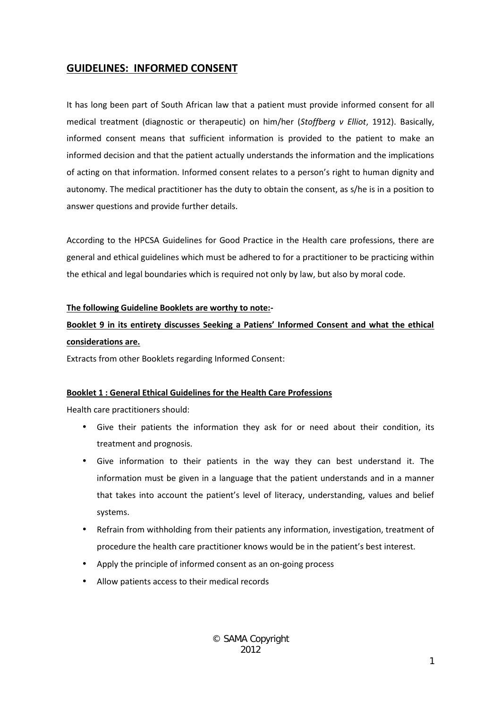# **GUIDELINES: INFORMED CONSENT**

It has long been part of South African law that a patient must provide informed consent for all medical treatment (diagnostic or therapeutic) on him/her (*Stoffberg v Elliot*, 1912). Basically, informed consent means that sufficient information is provided to the patient to make an informed decision and that the patient actually understands the information and the implications of acting on that information. Informed consent relates to a person's right to human dignity and autonomy. The medical practitioner has the duty to obtain the consent, as s/he is in a position to answer questions and provide further details.

According to the HPCSA Guidelines for Good Practice in the Health care professions, there are general and ethical guidelines which must be adhered to for a practitioner to be practicing within the ethical and legal boundaries which is required not only by law, but also by moral code.

#### **The following Guideline Booklets are worthy to note:-**

# **Booklet 9 in its entirety discusses Seeking a Patiens' Informed Consent and what the ethical considerations are.**

Extracts from other Booklets regarding Informed Consent:

# **Booklet 1 : General Ethical Guidelines for the Health Care Professions**

Health care practitioners should:

- Give their patients the information they ask for or need about their condition, its treatment and prognosis.
- Give information to their patients in the way they can best understand it. The information must be given in a language that the patient understands and in a manner that takes into account the patient's level of literacy, understanding, values and belief systems.
- Refrain from withholding from their patients any information, investigation, treatment of procedure the health care practitioner knows would be in the patient's best interest.
- Apply the principle of informed consent as an on-going process
- Allow patients access to their medical records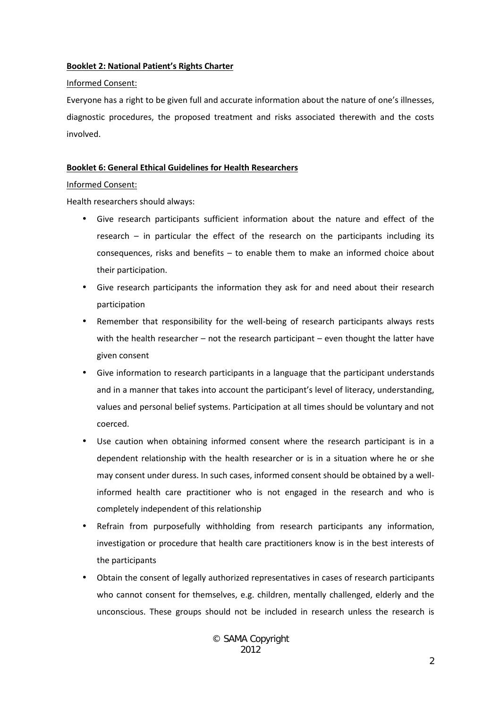#### **Booklet 2: National Patient's Rights Charter**

Informed Consent:

Everyone has a right to be given full and accurate information about the nature of one's illnesses, diagnostic procedures, the proposed treatment and risks associated therewith and the costs involved.

# **Booklet 6: General Ethical Guidelines for Health Researchers**

#### Informed Consent:

Health researchers should always:

- Give research participants sufficient information about the nature and effect of the research – in particular the effect of the research on the participants including its consequences, risks and benefits – to enable them to make an informed choice about their participation.
- Give research participants the information they ask for and need about their research participation
- Remember that responsibility for the well-being of research participants always rests with the health researcher – not the research participant – even thought the latter have given consent
- Give information to research participants in a language that the participant understands and in a manner that takes into account the participant's level of literacy, understanding, values and personal belief systems. Participation at all times should be voluntary and not coerced.
- Use caution when obtaining informed consent where the research participant is in a dependent relationship with the health researcher or is in a situation where he or she may consent under duress. In such cases, informed consent should be obtained by a wellinformed health care practitioner who is not engaged in the research and who is completely independent of this relationship
- Refrain from purposefully withholding from research participants any information, investigation or procedure that health care practitioners know is in the best interests of the participants
- Obtain the consent of legally authorized representatives in cases of research participants who cannot consent for themselves, e.g. children, mentally challenged, elderly and the unconscious. These groups should not be included in research unless the research is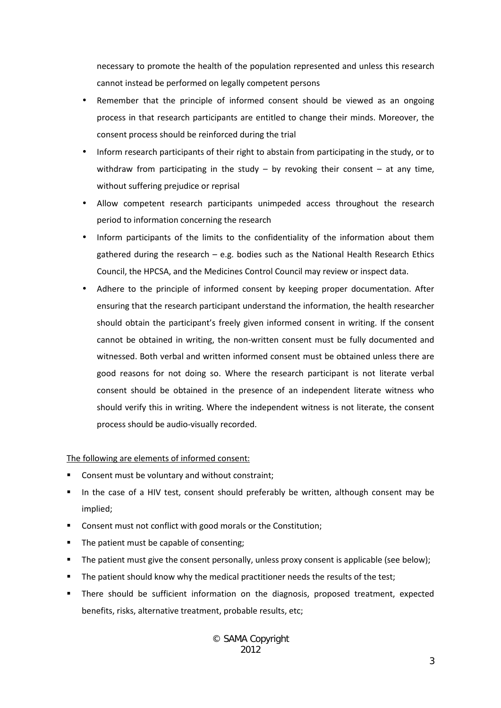necessary to promote the health of the population represented and unless this research cannot instead be performed on legally competent persons

- Remember that the principle of informed consent should be viewed as an ongoing process in that research participants are entitled to change their minds. Moreover, the consent process should be reinforced during the trial
- Inform research participants of their right to abstain from participating in the study, or to withdraw from participating in the study  $-$  by revoking their consent  $-$  at any time, without suffering prejudice or reprisal
- Allow competent research participants unimpeded access throughout the research period to information concerning the research
- Inform participants of the limits to the confidentiality of the information about them gathered during the research – e.g. bodies such as the National Health Research Ethics Council, the HPCSA, and the Medicines Control Council may review or inspect data.
- Adhere to the principle of informed consent by keeping proper documentation. After ensuring that the research participant understand the information, the health researcher should obtain the participant's freely given informed consent in writing. If the consent cannot be obtained in writing, the non-written consent must be fully documented and witnessed. Both verbal and written informed consent must be obtained unless there are good reasons for not doing so. Where the research participant is not literate verbal consent should be obtained in the presence of an independent literate witness who should verify this in writing. Where the independent witness is not literate, the consent process should be audio-visually recorded.

# The following are elements of informed consent:

- Consent must be voluntary and without constraint;
- In the case of a HIV test, consent should preferably be written, although consent may be implied;
- Consent must not conflict with good morals or the Constitution;
- The patient must be capable of consenting;
- The patient must give the consent personally, unless proxy consent is applicable (see below);
- The patient should know why the medical practitioner needs the results of the test;
- There should be sufficient information on the diagnosis, proposed treatment, expected benefits, risks, alternative treatment, probable results, etc;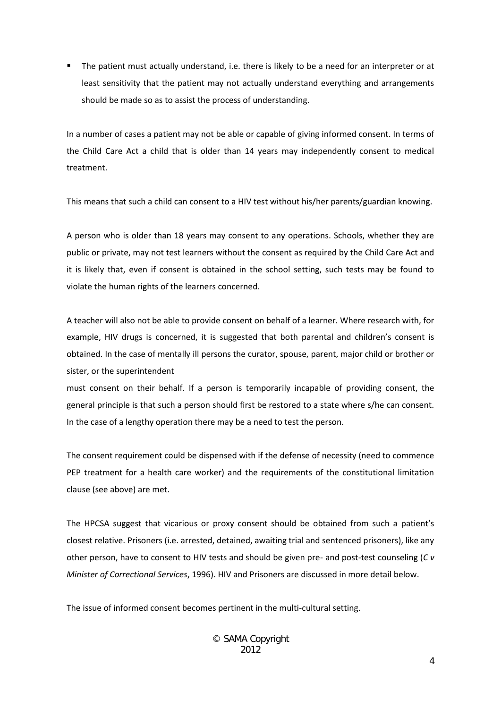The patient must actually understand, i.e. there is likely to be a need for an interpreter or at least sensitivity that the patient may not actually understand everything and arrangements should be made so as to assist the process of understanding.

In a number of cases a patient may not be able or capable of giving informed consent. In terms of the Child Care Act a child that is older than 14 years may independently consent to medical treatment.

This means that such a child can consent to a HIV test without his/her parents/guardian knowing.

A person who is older than 18 years may consent to any operations. Schools, whether they are public or private, may not test learners without the consent as required by the Child Care Act and it is likely that, even if consent is obtained in the school setting, such tests may be found to violate the human rights of the learners concerned.

A teacher will also not be able to provide consent on behalf of a learner. Where research with, for example, HIV drugs is concerned, it is suggested that both parental and children's consent is obtained. In the case of mentally ill persons the curator, spouse, parent, major child or brother or sister, or the superintendent

must consent on their behalf. If a person is temporarily incapable of providing consent, the general principle is that such a person should first be restored to a state where s/he can consent. In the case of a lengthy operation there may be a need to test the person.

The consent requirement could be dispensed with if the defense of necessity (need to commence PEP treatment for a health care worker) and the requirements of the constitutional limitation clause (see above) are met.

The HPCSA suggest that vicarious or proxy consent should be obtained from such a patient's closest relative. Prisoners (i.e. arrested, detained, awaiting trial and sentenced prisoners), like any other person, have to consent to HIV tests and should be given pre- and post-test counseling (*C v Minister of Correctional Services*, 1996). HIV and Prisoners are discussed in more detail below.

The issue of informed consent becomes pertinent in the multi-cultural setting.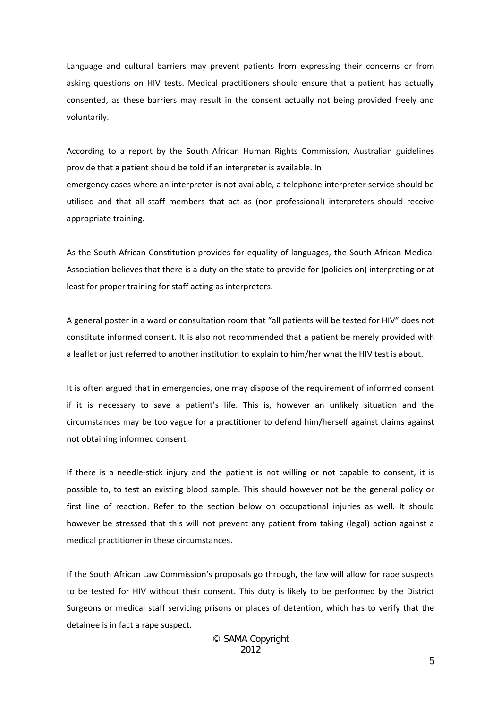Language and cultural barriers may prevent patients from expressing their concerns or from asking questions on HIV tests. Medical practitioners should ensure that a patient has actually consented, as these barriers may result in the consent actually not being provided freely and voluntarily.

According to a report by the South African Human Rights Commission, Australian guidelines provide that a patient should be told if an interpreter is available. In emergency cases where an interpreter is not available, a telephone interpreter service should be utilised and that all staff members that act as (non-professional) interpreters should receive appropriate training.

As the South African Constitution provides for equality of languages, the South African Medical Association believes that there is a duty on the state to provide for (policies on) interpreting or at least for proper training for staff acting as interpreters.

A general poster in a ward or consultation room that "all patients will be tested for HIV" does not constitute informed consent. It is also not recommended that a patient be merely provided with a leaflet or just referred to another institution to explain to him/her what the HIV test is about.

It is often argued that in emergencies, one may dispose of the requirement of informed consent if it is necessary to save a patient's life. This is, however an unlikely situation and the circumstances may be too vague for a practitioner to defend him/herself against claims against not obtaining informed consent.

If there is a needle-stick injury and the patient is not willing or not capable to consent, it is possible to, to test an existing blood sample. This should however not be the general policy or first line of reaction. Refer to the section below on occupational injuries as well. It should however be stressed that this will not prevent any patient from taking (legal) action against a medical practitioner in these circumstances.

If the South African Law Commission's proposals go through, the law will allow for rape suspects to be tested for HIV without their consent. This duty is likely to be performed by the District Surgeons or medical staff servicing prisons or places of detention, which has to verify that the detainee is in fact a rape suspect.